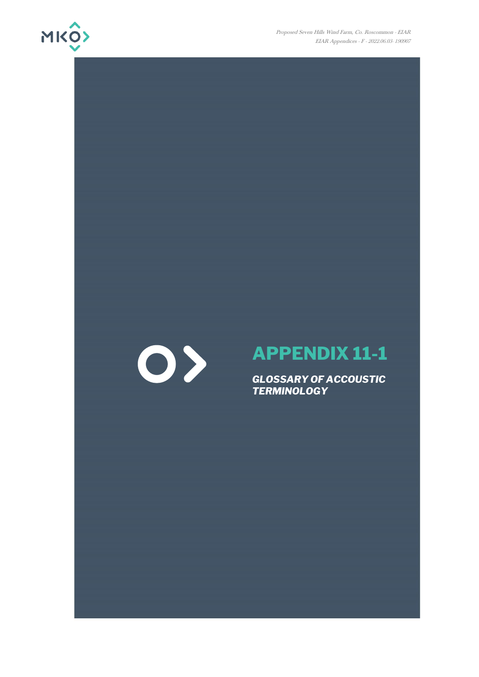

Proposed Seven Hills Wind Farm, Co. Roscommon - EIAR EIAR Appendices - F - 2022.06.03- 190907



## **APPENDIX 11-1**

*GLOSSARY OF ACCOUSTIC TERMINOLOGY*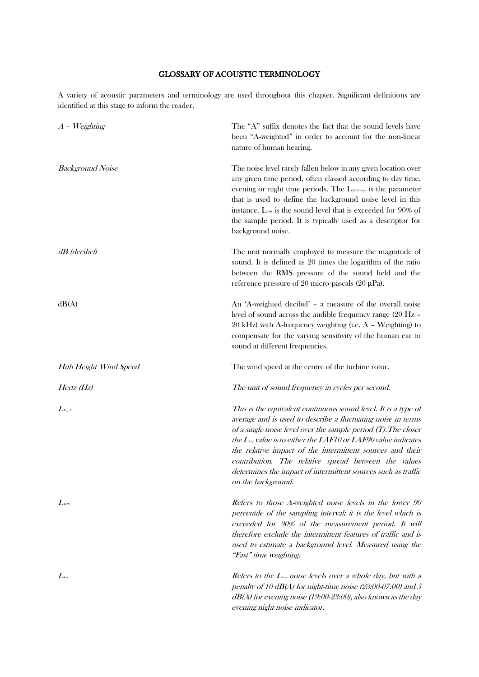## GLOSSARY OF ACOUSTIC TERMINOLOGY

A variety of acoustic parameters and terminology are used throughout this chapter. Significant definitions are identified at this stage to inform the reader.

| $A$ - Weighting              | The "A" suffix denotes the fact that the sound levels have<br>been "A-weighted" in order to account for the non-linear<br>nature of human hearing.                                                                                                                                                                                                                                                                                                                                    |
|------------------------------|---------------------------------------------------------------------------------------------------------------------------------------------------------------------------------------------------------------------------------------------------------------------------------------------------------------------------------------------------------------------------------------------------------------------------------------------------------------------------------------|
| <b>Background Noise</b>      | The noise level rarely fallen below in any given location over<br>any given time period, often classed according to day time,<br>evening or night time periods. The LA90,10min is the parameter<br>that is used to define the background noise level in this<br>instance. Lass is the sound level that is exceeded for 90% of<br>the sample period. It is typically used as a descriptor for<br>background noise.                                                                     |
| $dB$ (decibel)               | The unit normally employed to measure the magnitude of<br>sound. It is defined as 20 times the logarithm of the ratio<br>between the RMS pressure of the sound field and the<br>reference pressure of 20 micro-pascals (20 $\mu$ Pa).                                                                                                                                                                                                                                                 |
| dB(A)                        | An 'A-weighted decibel' - a measure of the overall noise<br>level of sound across the audible frequency range (20 Hz -<br>20 kHz) with A-frequency weighting (i.e. A - Weighting) to<br>compensate for the varying sensitivity of the human ear to<br>sound at different frequencies.                                                                                                                                                                                                 |
| Hub Height Wind Speed        | The wind speed at the centre of the turbine rotor.                                                                                                                                                                                                                                                                                                                                                                                                                                    |
| Hertz (Hz)                   | The unit of sound frequency in cycles per second.                                                                                                                                                                                                                                                                                                                                                                                                                                     |
| $L_{\text{Aeq},T}$           | This is the equivalent continuous sound level. It is a type of<br>average and is used to describe a fluctuating noise in terms<br>of a single noise level over the sample period $(T)$ . The closer<br>the $L_{eq}$ value is to either the LAF10 or LAF90 value indicates<br>the relative impact of the intermittent sources and their<br>contribution. The relative spread between the values<br>determines the impact of intermittent sources such as traffic<br>on the background. |
| $L$ <sub>4F90</sub>          | Refers to those A-weighted noise levels in the lower 90<br>percentile of the sampling interval; it is the level which is<br>exceeded for 90% of the measurement period. It will<br>therefore exclude the intermittent features of traffic and is<br>used to estimate a background level. Measured using the<br>"Fast" time weighting.                                                                                                                                                 |
| $L_{\scriptscriptstyle den}$ | Refers to the $L_{eq}$ noise levels over a whole day, but with a<br>penalty of 10 dB(A) for night-time noise (23:00-07:00) and 5<br>$dB(A)$ for evening noise (19:00-23:00), also known as the day<br>evening night noise indicator.                                                                                                                                                                                                                                                  |